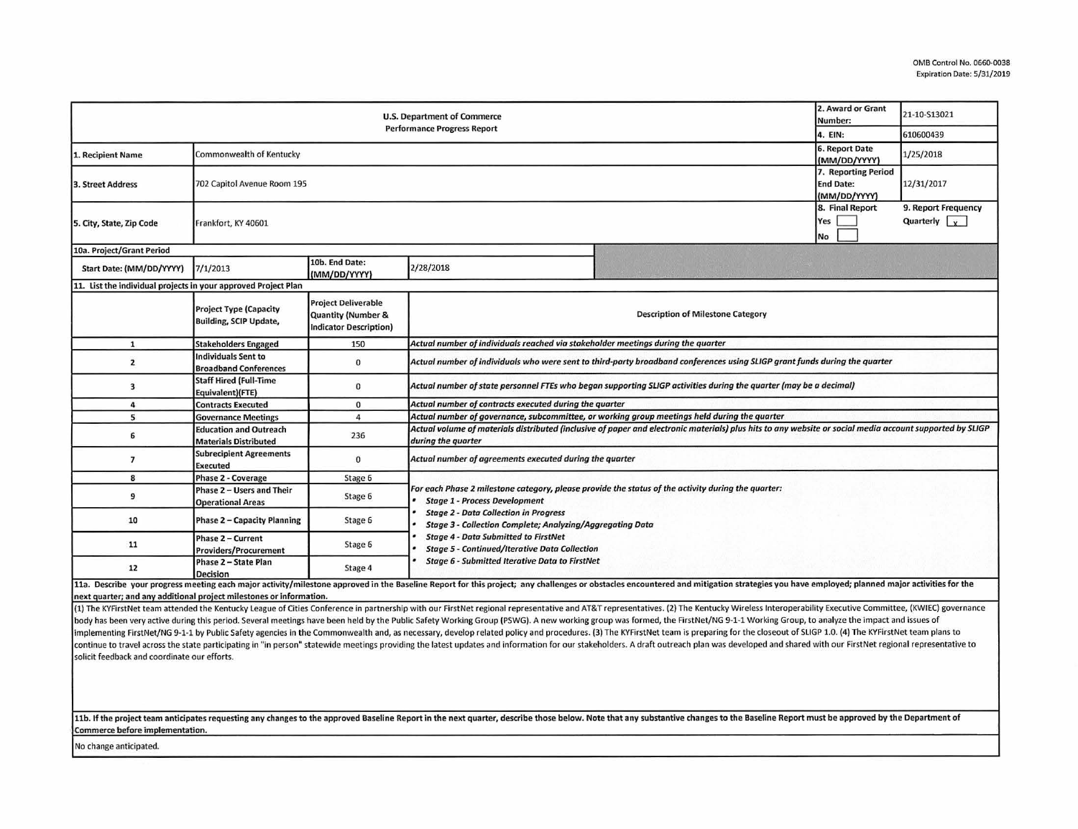| <b>U.S. Department of Commerce</b><br><b>Performance Progress Report</b> |                                                                                        |                                                                                   |                                                                                                                                                                                                                                                         |  | 2. Award or Grant<br>Number: | 21-10-S13021                                |  |  |  |
|--------------------------------------------------------------------------|----------------------------------------------------------------------------------------|-----------------------------------------------------------------------------------|---------------------------------------------------------------------------------------------------------------------------------------------------------------------------------------------------------------------------------------------------------|--|------------------------------|---------------------------------------------|--|--|--|
|                                                                          |                                                                                        |                                                                                   |                                                                                                                                                                                                                                                         |  | 4. EIN:                      | 610600439                                   |  |  |  |
| 1. Recipient Name                                                        | 6. Report Date<br>Commonwealth of Kentucky<br>(MM/DD/YYYY)                             |                                                                                   |                                                                                                                                                                                                                                                         |  |                              | 1/25/2018                                   |  |  |  |
| 3. Street Address                                                        | 7. Reporting Period<br>702 Capitol Avenue Room 195<br><b>End Date:</b><br>(MM/DD/YYYY) |                                                                                   |                                                                                                                                                                                                                                                         |  |                              | 12/31/2017                                  |  |  |  |
| 5. City, State, Zip Code                                                 | 8. Final Report<br>Frankfort, KY 40601                                                 |                                                                                   |                                                                                                                                                                                                                                                         |  |                              | 9. Report Frequency<br>Quarterly $\sqrt{x}$ |  |  |  |
| 10a. Project/Grant Period                                                |                                                                                        |                                                                                   |                                                                                                                                                                                                                                                         |  |                              |                                             |  |  |  |
| Start Date: (MM/DD/YYYY)                                                 | 7/1/2013                                                                               | 10b. End Date:<br>(MM/DD/YYYY)                                                    | 2/28/2018                                                                                                                                                                                                                                               |  |                              |                                             |  |  |  |
| 11. List the individual projects in your approved Project Plan           |                                                                                        |                                                                                   |                                                                                                                                                                                                                                                         |  |                              |                                             |  |  |  |
|                                                                          | <b>Project Type (Capacity</b><br><b>Building, SCIP Update,</b>                         | <b>Project Deliverable</b><br>Quantity (Number &<br><b>Indicator Description)</b> | <b>Description of Milestone Category</b>                                                                                                                                                                                                                |  |                              |                                             |  |  |  |
| $\mathbf{1}$                                                             | <b>Stakeholders Engaged</b>                                                            | 150                                                                               | Actual number of individuals reached via stakeholder meetings during the quarter                                                                                                                                                                        |  |                              |                                             |  |  |  |
| $\mathbf{2}$                                                             | Individuals Sent to<br><b>Broadband Conferences</b>                                    | $\mathbf{0}$                                                                      | Actual number of individuals who were sent to third-party broadband conferences using SLIGP grant funds during the quarter                                                                                                                              |  |                              |                                             |  |  |  |
| 3                                                                        | <b>Staff Hired (Full-Time</b><br>Equivalent)(FTE)                                      | $\mathbf 0$                                                                       | Actual number of state personnel FTEs who began supporting SLIGP activities during the quarter (may be a decimal)                                                                                                                                       |  |                              |                                             |  |  |  |
| $\overline{a}$                                                           | <b>Contracts Executed</b>                                                              | $\mathbf 0$                                                                       | Actual number of contracts executed during the quarter                                                                                                                                                                                                  |  |                              |                                             |  |  |  |
| 5                                                                        | <b>Governance Meetings</b>                                                             | 4                                                                                 | Actual number of governance, subcommittee, or working group meetings held during the quarter                                                                                                                                                            |  |                              |                                             |  |  |  |
| 6                                                                        | <b>Education and Outreach</b><br><b>Materials Distributed</b>                          | 236                                                                               | Actual volume of materials distributed (inclusive of paper and electronic materials) plus hits to any website or social media account supported by SLIGP<br>during the quarter                                                                          |  |                              |                                             |  |  |  |
| $\overline{7}$                                                           | <b>Subrecipient Agreements</b><br><b>Executed</b>                                      | $\mathbf 0$                                                                       | Actual number of agreements executed during the quarter                                                                                                                                                                                                 |  |                              |                                             |  |  |  |
| 8                                                                        | <b>Phase 2 - Coverage</b>                                                              | Stage 6                                                                           |                                                                                                                                                                                                                                                         |  |                              |                                             |  |  |  |
| 9                                                                        | Phase 2 - Users and Their<br><b>Operational Areas</b>                                  | Stage 6                                                                           | For each Phase 2 milestone category, please provide the status of the activity during the quarter:<br><b>Stage 1 - Process Development</b><br><b>Stage 2 - Data Collection in Progress</b><br>Stage 3 - Collection Complete; Analyzing/Aggregating Data |  |                              |                                             |  |  |  |
| 10                                                                       | Phase 2 - Capacity Planning                                                            | Stage 6                                                                           |                                                                                                                                                                                                                                                         |  |                              |                                             |  |  |  |
| 11                                                                       | Phase 2 - Current<br><b>Providers/Procurement</b>                                      | Stage 6                                                                           | <b>Stage 4 - Data Submitted to FirstNet</b><br><b>Stage 5 - Continued/Iterative Data Collection</b><br><b>Stage 6 - Submitted Iterative Data to FirstNet</b>                                                                                            |  |                              |                                             |  |  |  |
| 12                                                                       | Phase 2 - State Plan<br><b>Decision</b>                                                | Stage 4                                                                           |                                                                                                                                                                                                                                                         |  |                              |                                             |  |  |  |

11a. Describe your progress meeting each major activity/milestone approved in the Baseline Report for this project; any challenges or obstacles encountered and mitigation strategies you have employed; planned major activit next quarter; and any additional project milestones or information.

(1) The KYFirstNet team attended the Kentucky League of Cities Conference in partnership with our FirstNet regional representative and AT&T representatives. (2) The Kentucky Wireless Interoperability Executive Committee, ( body has been very active during this period. Several meetings have been held by the Public Safety Working Group (PSWG). A new working group was formed, the FirstNet/NG 9-1-1 Working Group, to analyze the impact and issues implementing FirstNet/NG 9-1-1 by Public Safety agencies in the Commonwealth and, as necessary, develop related policy and procedures. (3) The KYFirstNet team is preparing for the closeout of SLIGP 1.0. (4) The KYFirstNet continue to travel across the state participating in "in person" statewide meetings providing the latest updates and information for our stakeholders. A draft outreach plan was developed and shared with our FirstNet region solicit feedback and coordinate our efforts.

## 11b. If the project team anticipates requesting any changes to the approved Baseline Report in the next quarter, describe those below. Note that any substantive changes to the Baseline Report must be approved by the Depart Commerce before implementation.

No change anticipated.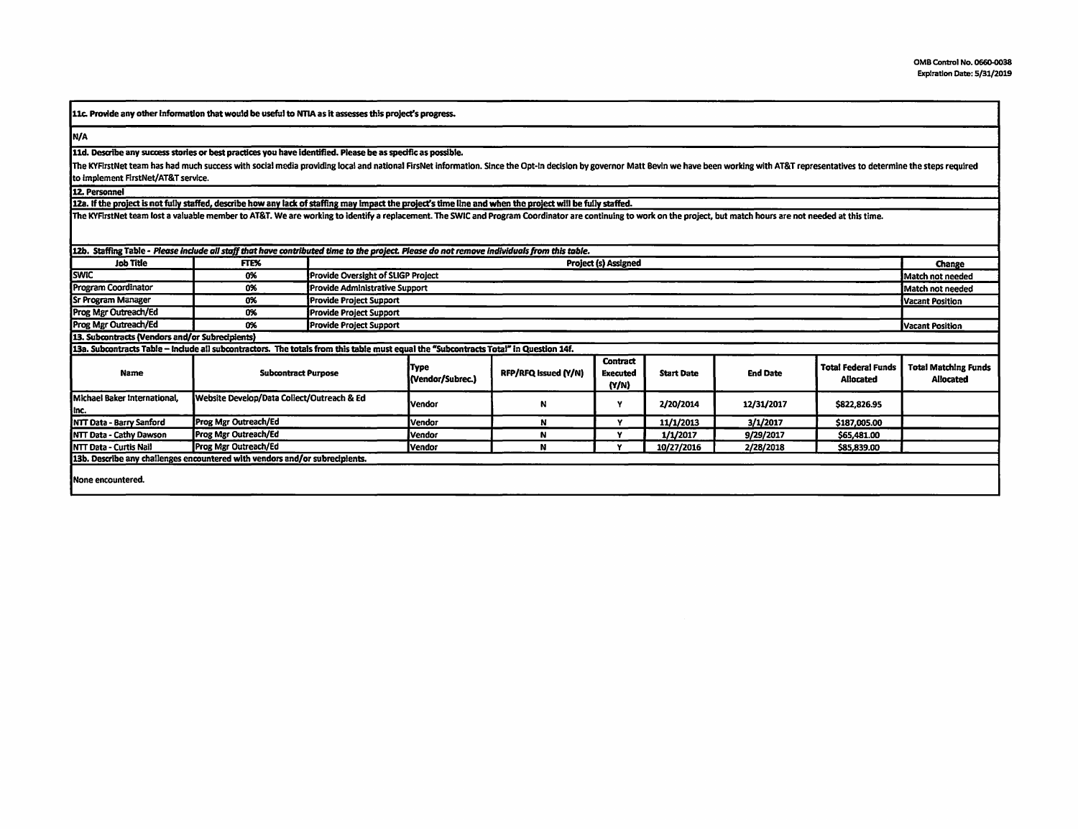llc. Provide any other Information that woutd be usefut to NTIA as it assesses thls project's progress.

N/A

11d. Describe any success stories or best practices you have identified. Please be as specific as possible.

The KYFirstNet team has had much success with social media providing local and national FirsNet information. Since the Opt-In decision by governor Matt Bevin we have been working with AT&T representatives to determine the to implement FirstNet/AT&T service.

12. Personnel

128. If the project is not fully staffed, describe how any lack of stafflna may Impact the oroiect's time llne and when the proJect **will be** fully staffed.

The KYFlrstNet team lost a valuable member to AT&T. We are working to identify a replacement. The SWIC and Program Coordinator are continuing to work on the project, but match hours are not needed at this time.

| 12b. Staffing Table - Please include all staff that have contributed time to the project. Please do not remove individuals from this table. |                                            |                                    |                          |                      |                                      |                   |                 |                                                |                                          |
|---------------------------------------------------------------------------------------------------------------------------------------------|--------------------------------------------|------------------------------------|--------------------------|----------------------|--------------------------------------|-------------------|-----------------|------------------------------------------------|------------------------------------------|
| Job Title                                                                                                                                   | FTE%                                       | Project (s) Assigned               |                          |                      |                                      |                   |                 |                                                | Change                                   |
| <b>I</b> swic                                                                                                                               | 0%                                         | Provide Oversight of SLIGP Project |                          |                      |                                      |                   |                 |                                                | Match not needed                         |
| Program Coordinator                                                                                                                         | 0%                                         | Provide Administrative Support     | Match not needed         |                      |                                      |                   |                 |                                                |                                          |
| <b>Sr Program Manager</b>                                                                                                                   | 0%                                         | Provide Project Support            | <b>Vacant Position</b>   |                      |                                      |                   |                 |                                                |                                          |
| Prog Mgr Outreach/Ed                                                                                                                        | 0%                                         | <b>Provide Project Support</b>     |                          |                      |                                      |                   |                 |                                                |                                          |
| <b>Prog Mgr Outreach/Ed</b>                                                                                                                 | 0%                                         | <b>Provide Project Support</b>     | Vacant Position          |                      |                                      |                   |                 |                                                |                                          |
| 13. Subcontracts (Vendors and/or Subrecipients)                                                                                             |                                            |                                    |                          |                      |                                      |                   |                 |                                                |                                          |
| 13a. Subcontracts Table - Include all subcontractors. The totals from this table must equal the "Subcontracts Total" in Question 14f.       |                                            |                                    |                          |                      |                                      |                   |                 |                                                |                                          |
| Name                                                                                                                                        | <b>Subcontract Purpose</b>                 |                                    | Type<br>(Vendor/Subrec.) | RFP/RFQ Issued (Y/N) | Contract<br><b>Executed</b><br>(Y/N) | <b>Start Date</b> | <b>End Date</b> | <b>Total Federal Funds</b><br><b>Allocated</b> | <b>Total Matching Funds</b><br>Allocated |
| Michael Baker International.<br>Inc.                                                                                                        | Website Develop/Data Collect/Outreach & Ed |                                    | Vendor                   | N                    |                                      | 2/20/2014         | 12/31/2017      | \$822,826.95                                   |                                          |
| <b>NTT Data - Barry Sanford</b>                                                                                                             | Prog Mgr Outreach/Ed                       |                                    | Vendor                   | N                    |                                      | 11/1/2013         | 3/1/2017        | \$187,005.00                                   |                                          |
| <b>INTT Data - Cathy Dawson</b>                                                                                                             | Prog Mgr Outreach/Ed                       |                                    | Vendor                   | N                    |                                      | 1/1/2017          | 9/29/2017       | \$65,481.00                                    |                                          |
| <b>INTT Data - Curtis Nail</b>                                                                                                              | Prog Mgr Outreach/Ed                       |                                    | Vendor                   | N                    |                                      | 10/27/2016        | 2/28/2018       | \$85,839.00                                    |                                          |
| 13b. Describe any challenges encountered with vendors and/or subrecipients.                                                                 |                                            |                                    |                          |                      |                                      |                   |                 |                                                |                                          |
| <b>INone encountered.</b>                                                                                                                   |                                            |                                    |                          |                      |                                      |                   |                 |                                                |                                          |